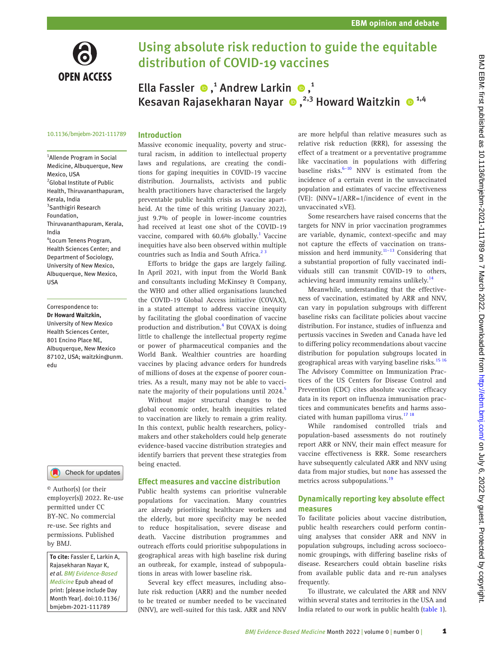

# Using absolute risk reduction to guide the equitable distribution of COVID-19 vaccines

EllaFassler  $\bullet$ ,<sup>1</sup> Andrew Larkin  $\bullet$ ,<sup>1</sup> KesavanRajasekharan Nayar  $\bullet$ ,<sup>2,3</sup> Howard Waitzkin  $\bullet$ <sup>1,4</sup>

### 10.1136/bmjebm-2021-111789

## **Introduction**

1 Allende Program in Social Medicine, Albuquerque, New Mexico, USA <sup>2</sup>Global Institute of Public Health, Thiruvananthapuram, Kerala, India <sup>3</sup>Santhigiri Research Foundation, Thiruvananthapuram, Kerala, India 4 Locum Tenens Program, Health Sciences Center; and Department of Sociology, University of New Mexico, Albuquerque, New Mexico, USA

Correspondence to: *Dr Howard Waitzkin,* University of New Mexico Health Sciences Center, 801 Encino Place NE, Albuquerque, New Mexico 87102, USA; waitzkin@unm. edu



© Author(s) (or their employer(s)) 2022. Re-use permitted under CC BY-NC. No commercial re-use. See rights and permissions. Published by BMJ.

*To cite:* Fassler E, Larkin A, Rajasekharan Nayar K, *et al*. *BMJ Evidence-Based Medicine* Epub ahead of print: [please include Day Month Year]. doi:10.1136/ bmjebm-2021-111789

Massive economic inequality, poverty and structural racism, in addition to intellectual property laws and regulations, are creating the conditions for gaping inequities in COVID-19 vaccine distribution. Journalists, activists and public health practitioners have characterised the largely preventable public health crisis as vaccine apartheid. At the time of this writing (January 2022), just 9.7% of people in lower-income countries had received at least one shot of the COVID-19 vaccine, compared with 60.6% globally.<sup>[1](#page-3-0)</sup> Vaccine inequities have also been observed within multiple countries such as India and South Africa.<sup>23</sup>

Efforts to bridge the gaps are largely failing. In April 2021, with input from the World Bank and consultants including McKinsey & Company, the WHO and other allied organisations launched the COVID-19 Global Access initiative (COVAX), in a stated attempt to address vaccine inequity by facilitating the global coordination of vaccine production and distribution.<sup>4</sup> But COVAX is doing little to challenge the intellectual property regime or power of pharmaceutical companies and the World Bank. Wealthier countries are hoarding vaccines by placing advance orders for hundreds of millions of doses at the expense of poorer countries. As a result, many may not be able to vaccinate the majority of their populations until 2024.<sup>5</sup>

Without major structural changes to the global economic order, health inequities related to vaccination are likely to remain a grim reality. In this context, public health researchers, policymakers and other stakeholders could help generate evidence-based vaccine distribution strategies and identify barriers that prevent these strategies from being enacted.

### **Effect measures and vaccine distribution**

Public health systems can prioritise vulnerable populations for vaccination. Many countries are already prioritising healthcare workers and the elderly, but more specificity may be needed to reduce hospitalisation, severe disease and death. Vaccine distribution programmes and outreach efforts could prioritise subpopulations in geographical areas with high baseline risk during an outbreak, for example, instead of subpopulations in areas with lower baseline risk.

Several key effect measures, including absolute risk reduction (ARR) and the number needed to be treated or number needed to be vaccinated (NNV), are well-suited for this task. ARR and NNV are more helpful than relative measures such as relative risk reduction (RRR), for assessing the effect of a treatment or a preventative programme like vaccination in populations with differing baseline risks. $6-10$  NNV is estimated from the incidence of a certain event in the unvaccinated population and estimates of vaccine effectiveness (VE): (NNV=1/ARR=1/incidence of event in the unvaccinated ×VE).

Some researchers have raised concerns that the targets for NNV in prior vaccination programmes are variable, dynamic, context-specific and may not capture the effects of vaccination on transmission and herd immunity. $11-13$  Considering that a substantial proportion of fully vaccinated individuals still can transmit COVID-19 to others, achieving heard immunity remains unlikely.<sup>[14](#page-3-6)</sup>

Meanwhile, understanding that the effectiveness of vaccination, estimated by ARR and NNV, can vary in population subgroups with different baseline risks can facilitate policies about vaccine distribution. For instance, studies of influenza and pertussis vaccines in Sweden and Canada have led to differing policy recommendations about vaccine distribution for population subgroups located in geographical areas with varying baseline risks.<sup>[15 16](#page-3-7)</sup> The Advisory Committee on Immunization Practices of the US Centers for Disease Control and Prevention (CDC) cites absolute vaccine efficacy data in its report on influenza immunisation practices and communicates benefits and harms asso-ciated with human papilloma virus.<sup>[17 18](#page-3-8)</sup>

While randomised controlled trials and population-based assessments do not routinely report ARR or NNV, their main effect measure for vaccine effectiveness is RRR. Some researchers have subsequently calculated ARR and NNV using data from major studies, but none has assessed the metrics across subpopulations.<sup>[19](#page-3-9)</sup>

# **Dynamically reporting key absolute effect measures**

To facilitate policies about vaccine distribution, public health researchers could perform continuing analyses that consider ARR and NNV in population subgroups, including across socioeconomic groupings, with differing baseline risks of disease. Researchers could obtain baseline risks from available public data and re-run analyses frequently.

To illustrate, we calculated the ARR and NNV within several states and territories in the USA and India related to our work in public health [\(table 1](#page-1-0)).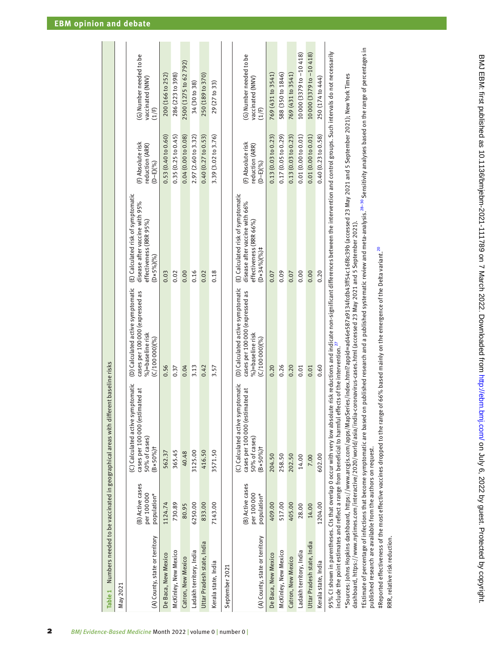|                                |                                               | Table 1 Numbers needed to be vaccinated in geographical areas with different baseline risks                                                                                                                                                                                                                                                   |                                                                                                          |                                                                                                                            |                                                      |                                                      |
|--------------------------------|-----------------------------------------------|-----------------------------------------------------------------------------------------------------------------------------------------------------------------------------------------------------------------------------------------------------------------------------------------------------------------------------------------------|----------------------------------------------------------------------------------------------------------|----------------------------------------------------------------------------------------------------------------------------|------------------------------------------------------|------------------------------------------------------|
| May 2021                       |                                               |                                                                                                                                                                                                                                                                                                                                               |                                                                                                          |                                                                                                                            |                                                      |                                                      |
| (A) County, state or territory | (B) Active cases<br>per 100000<br>population* | (C) Calculated active symptomatic<br>cases per 100000 (estimated at<br>50% of cases)<br>$(B \times 50\% )$ t                                                                                                                                                                                                                                  | (D) Calculated active symptomatic<br>cases per 10000 (expressed as<br>%)=baseline risk<br>(C/1000000)    | (E) Calculated risk of symptomatic<br>disease after vaccine with 95%<br>effectiveness (RRR 95%)<br>$(D \times 5\%)$ $(%)$  | (F) Absolute risk<br>reduction (ARR)<br>$(D-E)(%)$   | (G) Number needed to be<br>vaccinated (NNV)<br>(1/F) |
| De Baca, New Mexico            | 1124.74                                       | 562.37                                                                                                                                                                                                                                                                                                                                        | 0.56                                                                                                     | 0.03                                                                                                                       | 0.53(0.40 to 0.60)                                   | 200 (166 to 252)                                     |
| McKinley, New Mexico           | 730.89                                        | 365.45                                                                                                                                                                                                                                                                                                                                        | 0.37                                                                                                     | 0.02                                                                                                                       | 0.35(0.25 to 0.45)                                   | 286 (223 to 398)                                     |
| Catron, New Mexico             | 80.95                                         | 40.48                                                                                                                                                                                                                                                                                                                                         | 0.04                                                                                                     | 0.00                                                                                                                       | 0.04(0.00 to 0.08)                                   | 2500 (1275 to 62 792)                                |
| Ladakh territory, India        | 6250.00                                       | 3125.00                                                                                                                                                                                                                                                                                                                                       | 3.13                                                                                                     | 0.16                                                                                                                       | 2.97 (2.60 to 3.32)                                  | 34 (30 to 38)                                        |
| Uttar Pradesh state, India     | 833.00                                        | 416.50                                                                                                                                                                                                                                                                                                                                        | 0.42                                                                                                     | 0.02                                                                                                                       | 0.40(0.27 to 0.53)                                   | 250 (189 to 370)                                     |
| Kerala state, India            | 7143.00                                       | 3571.50                                                                                                                                                                                                                                                                                                                                       | 3.57                                                                                                     | 0.18                                                                                                                       | 3.39 (3.02 to 3.76)                                  | 29 (27 to 33)                                        |
| September 2021                 |                                               |                                                                                                                                                                                                                                                                                                                                               |                                                                                                          |                                                                                                                            |                                                      |                                                      |
| (A) County, state or territory | (B) Active cases<br>per 100000<br>population* | (C) Calculated active symptomatic<br>cases per 100000 (estimated at<br>50% of cases)<br>$(B \times 50\%)$ t                                                                                                                                                                                                                                   | (D) Calculated active symptomatic<br>cases per 100000 (expressed as<br>%)=baseline risk<br>(C/10000000%) | (E) Calculated risk of symptomatic<br>disease after vaccine with 66%<br>effectiveness (RRR 66%)<br>$(D \times 34\%)$ $(%)$ | (F) Absolute risk<br>reduction (ARR)<br>$(D - E)(%)$ | (G) Number needed to be<br>vaccinated (NNV)<br>(1/F) |
| De Baca, New Mexico            | 409.00                                        | 204.50                                                                                                                                                                                                                                                                                                                                        | 0.20                                                                                                     | 0.07                                                                                                                       | 0.13(0.03 to 0.23)                                   | 769 (431 to 3541)                                    |
| McKinley, New Mexico           | 517.00                                        | 258.50                                                                                                                                                                                                                                                                                                                                        | 0.26                                                                                                     | 0.09                                                                                                                       | 0.17 (0.05 to 0.29)                                  | 588 (350 to 1846)                                    |
| Catron, New Mexico             | 405.00                                        | 202.50                                                                                                                                                                                                                                                                                                                                        | 0.20                                                                                                     | 0.07                                                                                                                       | 0.13(0.03 to 0.23)                                   | 769 (431 to 3541)                                    |
| Ladakh territory, India        | 28.00                                         | 14.00                                                                                                                                                                                                                                                                                                                                         | 0.01                                                                                                     | 0.00                                                                                                                       | 0.01(0.00 to 0.01)                                   | 10000 (3379 to -10 418)                              |
| Uttar Pradesh state, India     | 14.00                                         | 7.00                                                                                                                                                                                                                                                                                                                                          | 0.01                                                                                                     | 0.00                                                                                                                       | 0.01(0.00 to 0.01)                                   | 10000 (3379 to -10 418)                              |
| Kerala state, India            | 1204.00                                       | 602.00                                                                                                                                                                                                                                                                                                                                        | 0.60                                                                                                     | 0.20                                                                                                                       | 0.40(0.23 to 0.58)                                   | 250 (174 to 444)                                     |
|                                |                                               | 95% CI shown in parentheses. CIs that overlap 0 occur with very low absolute risk reductions and indicate non-significant differences between the intervention and control groups. Such intervals do not necessarily<br>include the point estimates and reflect a range from beneficial to harmful effects of the intervention. <sup>27</sup> |                                                                                                          |                                                                                                                            |                                                      |                                                      |
|                                |                                               | *Sources: Johns Hopkins dashboard, https://www.arcgis.com/apps/MapSeries/index.html?appid=ad46e587a9134fcdb43ff54c16f8c39b (accessed 23 May 2021 and 5 September 2021); New York Times<br>data https://www.matimac.com/interactiva/10010/werld/sid/india.com/animic_cocococococococod1001110011                                               |                                                                                                          |                                                                                                                            |                                                      |                                                      |

# dashboard, https://www.nytimes.com/interactive/2020/world/asia/india-coronavirus-cases.html (accessed 23 May 2021 and 5 September 2021). dashboard, <https://www.nytimes.com/interactive/2020/world/asia/india-coronavirus-cases.html>(accessed 23 May 2021 and 5 September 2021).

rEstimate of percentage of infections that become symptomatic are based on published research and a published systematic review and meta-analysis.<sup>28-30</sup> Sensitivity analyses based on the range of percentages in †Estimate of percentage of infections that become symptomatic are based on published research and a published systematic review and meta-analysis.[28–30](#page-3-11) Sensitivity analyses based on the range of percentages in published research are available from the authors on request. published research are available from the authors on request.

 $\pi$ Reported effectiveness of the most effective vaccines dropped to the range of 66% based mainly on the emergence of the Delta variant.<sup>20</sup>  $\tau$ Reported effectiveness of the most effective vaccines dropped to the range of 66% based mainly on the emergence of the Delta variant.<sup>[20](#page-3-12)</sup>

<span id="page-1-0"></span>RRR, relative risk reduction. RRR, relative risk reduction.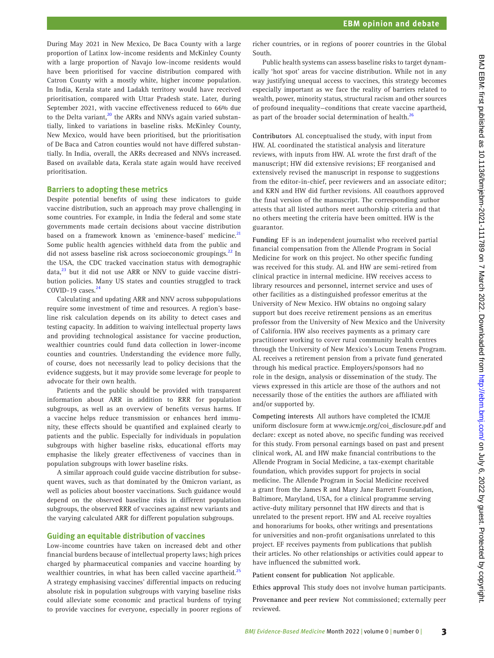During May 2021 in New Mexico, De Baca County with a large proportion of Latinx low-income residents and McKinley County with a large proportion of Navajo low-income residents would have been prioritised for vaccine distribution compared with Catron County with a mostly white, higher income population. In India, Kerala state and Ladakh territory would have received prioritisation, compared with Uttar Pradesh state. Later, during September 2021, with vaccine effectiveness reduced to 66% due to the Delta variant,<sup>20</sup> the ARRs and NNVs again varied substantially, linked to variations in baseline risks. McKinley County, New Mexico, would have been prioritised, but the prioritisation of De Baca and Catron counties would not have differed substantially. In India, overall, the ARRs decreased and NNVs increased. Based on available data, Kerala state again would have received prioritisation.

### **Barriers to adopting these metrics**

Despite potential benefits of using these indicators to guide vaccine distribution, such an approach may prove challenging in some countries. For example, in India the federal and some state governments made certain decisions about vaccine distribution based on a framework known as 'eminence-based' medicine.<sup>[21](#page-3-13)</sup> Some public health agencies withheld data from the public and did not assess baseline risk across socioeconomic groupings.<sup>[22](#page-3-14)</sup> In the USA, the CDC tracked vaccination status with demographic  $data<sub>1</sub><sup>23</sup>$  but it did not use ARR or NNV to guide vaccine distribution policies. Many US states and counties struggled to track COVID-19 cases. $24$ 

Calculating and updating ARR and NNV across subpopulations require some investment of time and resources. A region's baseline risk calculation depends on its ability to detect cases and testing capacity. In addition to waiving intellectual property laws and providing technological assistance for vaccine production, wealthier countries could fund data collection in lower-income counties and countries. Understanding the evidence more fully, of course, does not necessarily lead to policy decisions that the evidence suggests, but it may provide some leverage for people to advocate for their own health.

Patients and the public should be provided with transparent information about ARR in addition to RRR for population subgroups, as well as an overview of benefits versus harms. If a vaccine helps reduce transmission or enhances herd immunity, these effects should be quantified and explained clearly to patients and the public. Especially for individuals in population subgroups with higher baseline risks, educational efforts may emphasise the likely greater effectiveness of vaccines than in population subgroups with lower baseline risks.

A similar approach could guide vaccine distribution for subsequent waves, such as that dominated by the Omicron variant, as well as policies about booster vaccinations. Such guidance would depend on the observed baseline risks in different population subgroups, the observed RRR of vaccines against new variants and the varying calculated ARR for different population subgroups.

### **Guiding an equitable distribution of vaccines**

Low-income countries have taken on increased debt and other financial burdens because of intellectual property laws; high prices charged by pharmaceutical companies and vaccine hoarding by wealthier countries, in what has been called vaccine apartheid.<sup>[25](#page-3-17)</sup> A strategy emphasising vaccines' differential impacts on reducing absolute risk in population subgroups with varying baseline risks could alleviate some economic and practical burdens of trying to provide vaccines for everyone, especially in poorer regions of

richer countries, or in regions of poorer countries in the Global South.

Public health systems can assess baseline risks to target dynamically 'hot spot' areas for vaccine distribution. While not in any way justifying unequal access to vaccines, this strategy becomes especially important as we face the reality of barriers related to wealth, power, minority status, structural racism and other sources of profound inequality—conditions that create vaccine apartheid, as part of the broader social determination of health. $^{26}$ 

**Contributors** AL conceptualised the study, with input from HW. AL coordinated the statistical analysis and literature reviews, with inputs from HW. AL wrote the first draft of the manuscript; HW did extensive revisions; EF reorganised and extensively revised the manuscript in response to suggestions from the editor-in-chief, peer reviewers and an associate editor; and KRN and HW did further revisions. All coauthors approved the final version of the manuscript. The corresponding author attests that all listed authors meet authorship criteria and that no others meeting the criteria have been omitted. HW is the guarantor.

**Funding** EF is an independent journalist who received partial financial compensation from the Allende Program in Social Medicine for work on this project. No other specific funding was received for this study. AL and HW are semi-retired from clinical practice in internal medicine. HW receives access to library resources and personnel, internet service and uses of other facilities as a distinguished professor emeritus at the University of New Mexico. HW obtains no ongoing salary support but does receive retirement pensions as an emeritus professor from the University of New Mexico and the University of California. HW also receives payments as a primary care practitioner working to cover rural community health centres through the University of New Mexico's Locum Tenens Program. AL receives a retirement pension from a private fund generated through his medical practice. Employers/sponsors had no role in the design, analysis or dissemination of the study. The views expressed in this article are those of the authors and not necessarily those of the entities the authors are affiliated with and/or supported by.

**Competing interests** All authors have completed the ICMJE uniform disclosure form at [www.icmje.org/coi\\_disclosure.pdf](http://www.icmje.org/disclosure-of-interest/) and declare: except as noted above, no specific funding was received for this study. From personal earnings based on past and present clinical work, AL and HW make financial contributions to the Allende Program in Social Medicine, a tax-exempt charitable foundation, which provides support for projects in social medicine. The Allende Program in Social Medicine received a grant from the James R and Mary Jane Barrett Foundation, Baltimore, Maryland, USA, for a clinical programme serving active-duty military personnel that HW directs and that is unrelated to the present report. HW and AL receive royalties and honorariums for books, other writings and presentations for universities and non-profit organisations unrelated to this project. EF receives payments from publications that publish their articles. No other relationships or activities could appear to have influenced the submitted work.

**Patient consent for publication** Not applicable.

**Ethics approval** This study does not involve human participants.

**Provenance and peer review** Not commissioned; externally peer reviewed.